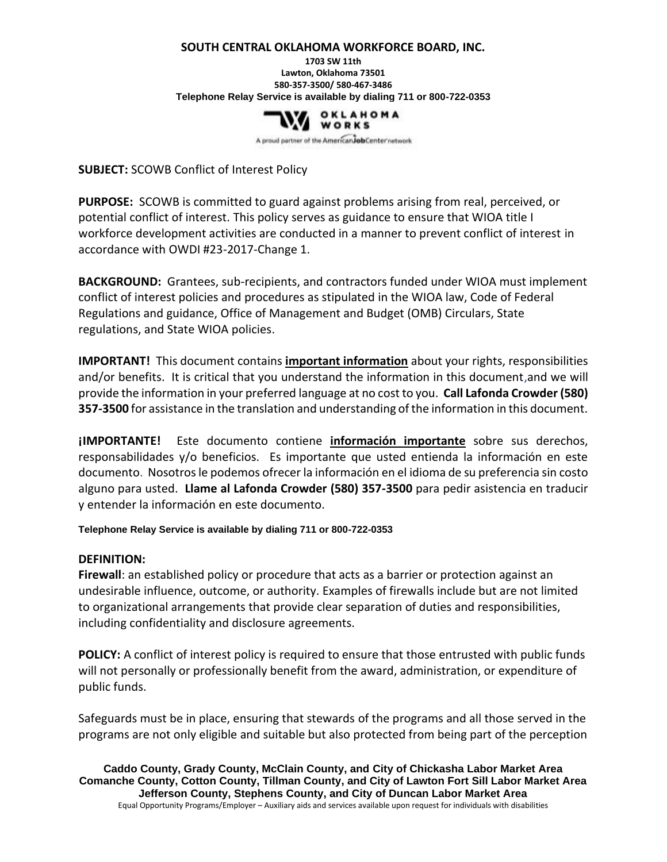## **SOUTH CENTRAL OKLAHOMA WORKFORCE BOARD, INC.**

**1703 SW 11th Lawton, Oklahoma 73501 580-357-3500/ 580-467-3486 Telephone Relay Service is available by dialing 711 or 800-722-0353**



A proud partner of the American Job Center network

**SUBJECT:** SCOWB Conflict of Interest Policy

**PURPOSE:** SCOWB is committed to guard against problems arising from real, perceived, or potential conflict of interest. This policy serves as guidance to ensure that WIOA title I workforce development activities are conducted in a manner to prevent conflict of interest in accordance with OWDI #23-2017-Change 1.

**BACKGROUND:** Grantees, sub-recipients, and contractors funded under WIOA must implement conflict of interest policies and procedures as stipulated in the WIOA law, Code of Federal Regulations and guidance, Office of Management and Budget (OMB) Circulars, State regulations, and State WIOA policies.

**IMPORTANT!** This document contains **important information** about your rights, responsibilities and/or benefits. It is critical that you understand the information in this document,and we will provide the information in your preferred language at no cost to you. **Call Lafonda Crowder (580) 357-3500** for assistance in the translation and understanding of the information in this document.

**¡IMPORTANTE!** Este documento contiene **información importante** sobre sus derechos, responsabilidades y/o beneficios. Es importante que usted entienda la información en este documento. Nosotros le podemos ofrecer la información en el idioma de su preferencia sin costo alguno para usted. **Llame al Lafonda Crowder (580) 357-3500** para pedir asistencia en traducir y entender la información en este documento.

**Telephone Relay Service is available by dialing 711 or 800-722-0353**

## **DEFINITION:**

**Firewall**: an established policy or procedure that acts as a barrier or protection against an undesirable influence, outcome, or authority. Examples of firewalls include but are not limited to organizational arrangements that provide clear separation of duties and responsibilities, including confidentiality and disclosure agreements.

**POLICY:** A conflict of interest policy is required to ensure that those entrusted with public funds will not personally or professionally benefit from the award, administration, or expenditure of public funds.

Safeguards must be in place, ensuring that stewards of the programs and all those served in the programs are not only eligible and suitable but also protected from being part of the perception

**Caddo County, Grady County, McClain County, and City of Chickasha Labor Market Area Comanche County, Cotton County, Tillman County, and City of Lawton Fort Sill Labor Market Area Jefferson County, Stephens County, and City of Duncan Labor Market Area** Equal Opportunity Programs/Employer – Auxiliary aids and services available upon request for individuals with disabilities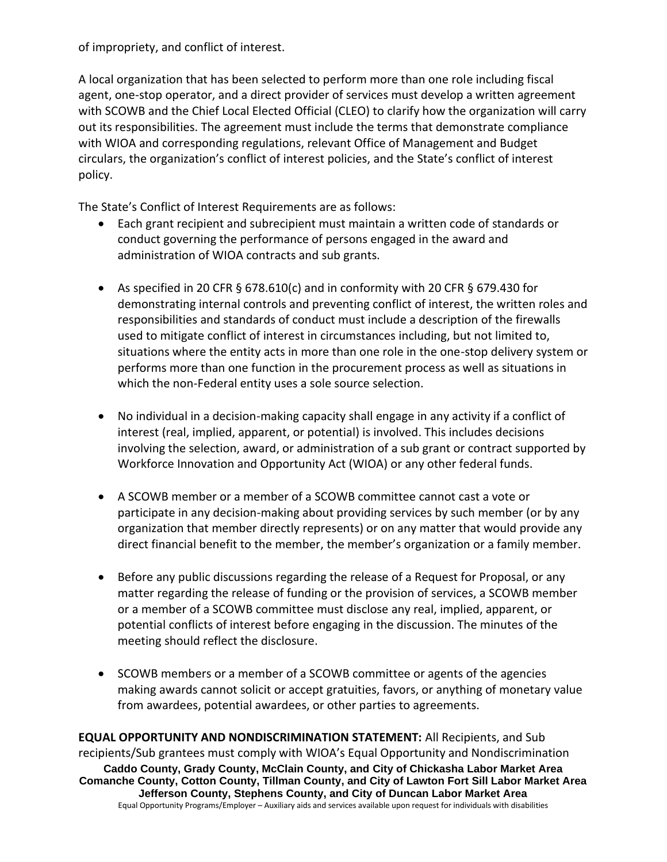of impropriety, and conflict of interest.

A local organization that has been selected to perform more than one role including fiscal agent, one-stop operator, and a direct provider of services must develop a written agreement with SCOWB and the Chief Local Elected Official (CLEO) to clarify how the organization will carry out its responsibilities. The agreement must include the terms that demonstrate compliance with WIOA and corresponding regulations, relevant Office of Management and Budget circulars, the organization's conflict of interest policies, and the State's conflict of interest policy.

The State's Conflict of Interest Requirements are as follows:

- Each grant recipient and subrecipient must maintain a written code of standards or conduct governing the performance of persons engaged in the award and administration of WIOA contracts and sub grants.
- As specified in 20 CFR § 678.610(c) and in conformity with 20 CFR § 679.430 for demonstrating internal controls and preventing conflict of interest, the written roles and responsibilities and standards of conduct must include a description of the firewalls used to mitigate conflict of interest in circumstances including, but not limited to, situations where the entity acts in more than one role in the one-stop delivery system or performs more than one function in the procurement process as well as situations in which the non-Federal entity uses a sole source selection.
- No individual in a decision-making capacity shall engage in any activity if a conflict of interest (real, implied, apparent, or potential) is involved. This includes decisions involving the selection, award, or administration of a sub grant or contract supported by Workforce Innovation and Opportunity Act (WIOA) or any other federal funds.
- A SCOWB member or a member of a SCOWB committee cannot cast a vote or participate in any decision-making about providing services by such member (or by any organization that member directly represents) or on any matter that would provide any direct financial benefit to the member, the member's organization or a family member.
- Before any public discussions regarding the release of a Request for Proposal, or any matter regarding the release of funding or the provision of services, a SCOWB member or a member of a SCOWB committee must disclose any real, implied, apparent, or potential conflicts of interest before engaging in the discussion. The minutes of the meeting should reflect the disclosure.
- SCOWB members or a member of a SCOWB committee or agents of the agencies making awards cannot solicit or accept gratuities, favors, or anything of monetary value from awardees, potential awardees, or other parties to agreements.

**Caddo County, Grady County, McClain County, and City of Chickasha Labor Market Area Comanche County, Cotton County, Tillman County, and City of Lawton Fort Sill Labor Market Area Jefferson County, Stephens County, and City of Duncan Labor Market Area** Equal Opportunity Programs/Employer – Auxiliary aids and services available upon request for individuals with disabilities **EQUAL OPPORTUNITY AND NONDISCRIMINATION STATEMENT:** All Recipients, and Sub recipients/Sub grantees must comply with WIOA's Equal Opportunity and Nondiscrimination